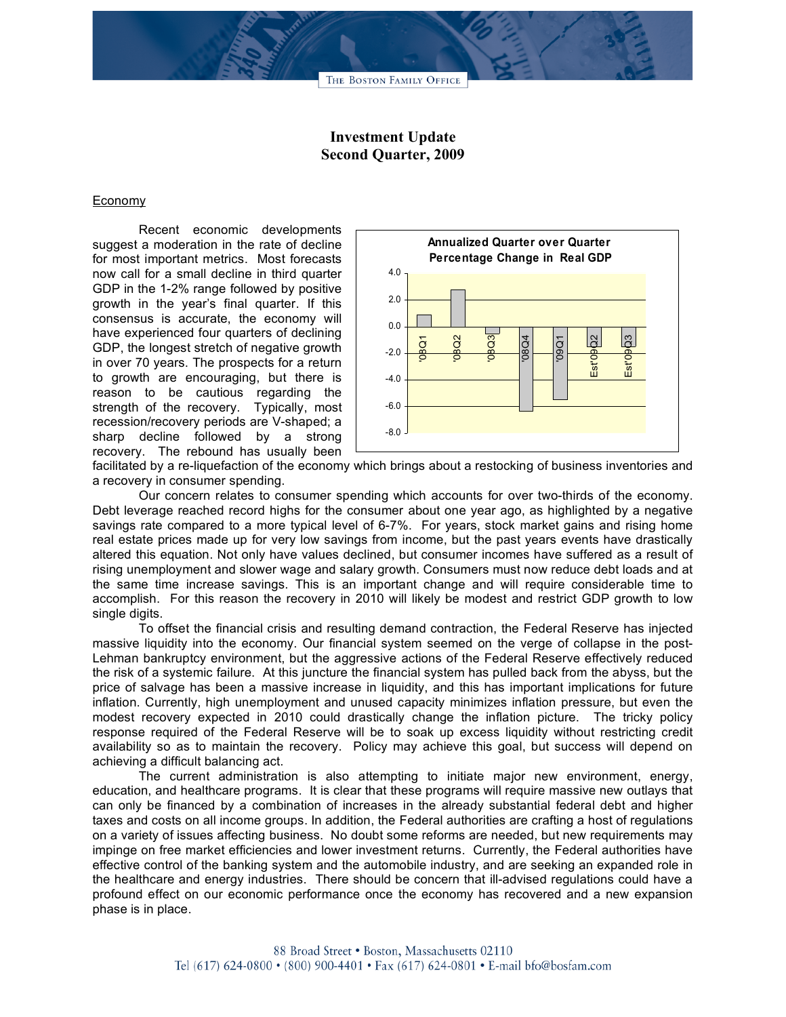## **Investment Update Second Quarter, 2009**

## Economy

Recent economic developments suggest a moderation in the rate of decline for most important metrics. Most forecasts now call for a small decline in third quarter GDP in the 1-2% range followed by positive growth in the year's final quarter. If this consensus is accurate, the economy will have experienced four quarters of declining GDP, the longest stretch of negative growth in over 70 years. The prospects for a return to growth are encouraging, but there is reason to be cautious regarding the strength of the recovery. Typically, most recession/recovery periods are V-shaped; a sharp decline followed by a strong recovery. The rebound has usually been



facilitated by a re-liquefaction of the economy which brings about a restocking of business inventories and a recovery in consumer spending.

Our concern relates to consumer spending which accounts for over two-thirds of the economy. Debt leverage reached record highs for the consumer about one year ago, as highlighted by a negative savings rate compared to a more typical level of 6-7%. For years, stock market gains and rising home real estate prices made up for very low savings from income, but the past years events have drastically altered this equation. Not only have values declined, but consumer incomes have suffered as a result of rising unemployment and slower wage and salary growth. Consumers must now reduce debt loads and at the same time increase savings. This is an important change and will require considerable time to accomplish. For this reason the recovery in 2010 will likely be modest and restrict GDP growth to low single digits.

To offset the financial crisis and resulting demand contraction, the Federal Reserve has injected massive liquidity into the economy. Our financial system seemed on the verge of collapse in the post-Lehman bankruptcy environment, but the aggressive actions of the Federal Reserve effectively reduced the risk of a systemic failure. At this juncture the financial system has pulled back from the abyss, but the price of salvage has been a massive increase in liquidity, and this has important implications for future inflation. Currently, high unemployment and unused capacity minimizes inflation pressure, but even the modest recovery expected in 2010 could drastically change the inflation picture. The tricky policy response required of the Federal Reserve will be to soak up excess liquidity without restricting credit availability so as to maintain the recovery. Policy may achieve this goal, but success will depend on achieving a difficult balancing act.

The current administration is also attempting to initiate major new environment, energy, education, and healthcare programs. It is clear that these programs will require massive new outlays that can only be financed by a combination of increases in the already substantial federal debt and higher taxes and costs on all income groups. In addition, the Federal authorities are crafting a host of regulations on a variety of issues affecting business. No doubt some reforms are needed, but new requirements may impinge on free market efficiencies and lower investment returns. Currently, the Federal authorities have effective control of the banking system and the automobile industry, and are seeking an expanded role in the healthcare and energy industries. There should be concern that ill-advised regulations could have a profound effect on our economic performance once the economy has recovered and a new expansion phase is in place.